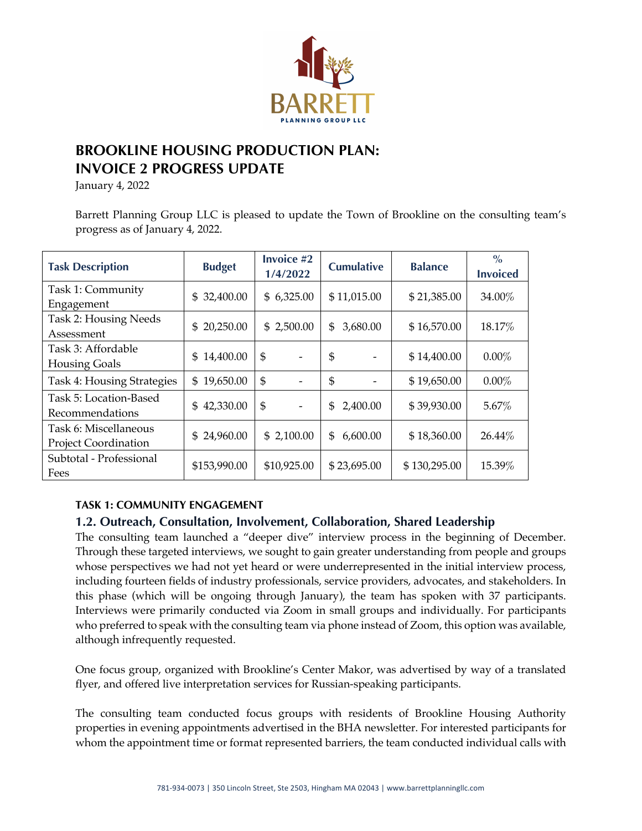

# **BROOKLINE HOUSING PRODUCTION PLAN: INVOICE 2 PROGRESS UPDATE**

January 4, 2022

Barrett Planning Group LLC is pleased to update the Town of Brookline on the consulting team's progress as of January 4, 2022.

| <b>Task Description</b>                              | <b>Budget</b>   | Invoice #2<br>1/4/2022                     | <b>Cumulative</b> | <b>Balance</b> | $\frac{0}{0}$<br><b>Invoiced</b> |
|------------------------------------------------------|-----------------|--------------------------------------------|-------------------|----------------|----------------------------------|
| Task 1: Community<br>Engagement                      | 32,400.00<br>\$ | \$6,325.00                                 | \$11,015.00       | \$21,385.00    | 34.00%                           |
| Task 2: Housing Needs<br>Assessment                  | 20,250.00<br>\$ | \$2,500.00                                 | 3,680.00<br>\$    | \$16,570.00    | 18.17%                           |
| Task 3: Affordable<br><b>Housing Goals</b>           | 14,400.00<br>\$ | $\mathfrak{S}$<br>$\overline{\phantom{a}}$ | \$                | \$14,400.00    | $0.00\%$                         |
| Task 4: Housing Strategies                           | 19,650.00<br>\$ | $\mathfrak{S}$                             | \$                | \$19,650.00    | $0.00\%$                         |
| Task 5: Location-Based<br>Recommendations            | 42,330.00<br>\$ | \$                                         | \$<br>2,400.00    | \$39,930.00    | 5.67%                            |
| Task 6: Miscellaneous<br><b>Project Coordination</b> | 24,960.00<br>\$ | \$2,100.00                                 | 6,600.00<br>\$    | \$18,360.00    | 26.44%                           |
| Subtotal - Professional<br>Fees                      | \$153,990.00    | \$10,925.00                                | \$23,695.00       | \$130,295.00   | 15.39%                           |

### **TASK 1: COMMUNITY ENGAGEMENT**

## **1.2. Outreach, Consultation, Involvement, Collaboration, Shared Leadership**

The consulting team launched a "deeper dive" interview process in the beginning of December. Through these targeted interviews, we sought to gain greater understanding from people and groups whose perspectives we had not yet heard or were underrepresented in the initial interview process, including fourteen fields of industry professionals, service providers, advocates, and stakeholders. In this phase (which will be ongoing through January), the team has spoken with 37 participants. Interviews were primarily conducted via Zoom in small groups and individually. For participants who preferred to speak with the consulting team via phone instead of Zoom, this option was available, although infrequently requested.

One focus group, organized with Brookline's Center Makor, was advertised by way of a translated flyer, and offered live interpretation services for Russian-speaking participants.

The consulting team conducted focus groups with residents of Brookline Housing Authority properties in evening appointments advertised in the BHA newsletter. For interested participants for whom the appointment time or format represented barriers, the team conducted individual calls with